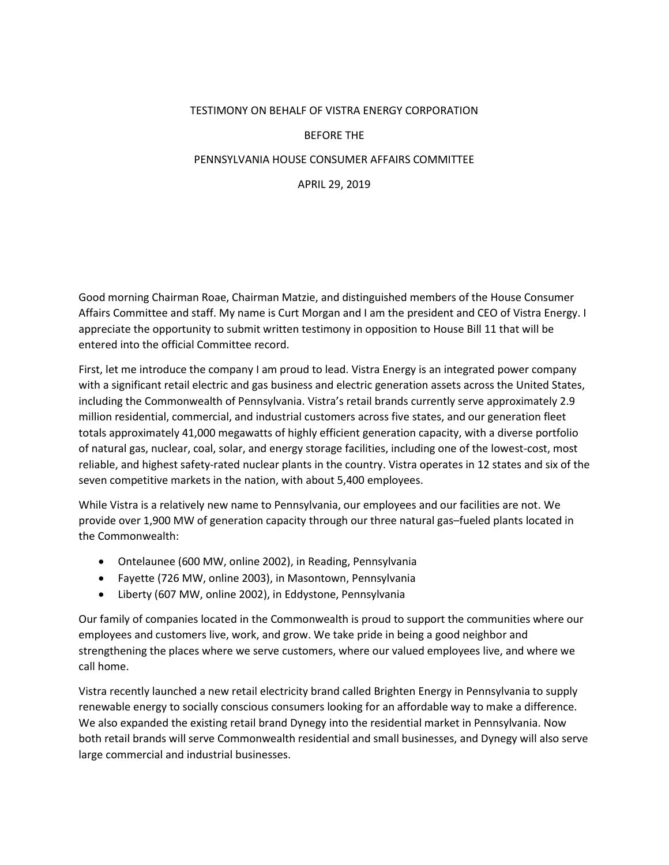## TESTIMONY ON BEHALF OF VISTRA ENERGY CORPORATION

## BEFORE THE

## PENNSYLVANIA HOUSE CONSUMER AFFAIRS COMMITTEE

APRIL 29, 2019

Good morning Chairman Roae, Chairman Matzie, and distinguished members of the House Consumer Affairs Committee and staff. My name is Curt Morgan and I am the president and CEO of Vistra Energy. I appreciate the opportunity to submit written testimony in opposition to House Bill 11 that will be entered into the official Committee record.

First, let me introduce the company I am proud to lead. Vistra Energy is an integrated power company with a significant retail electric and gas business and electric generation assets across the United States, including the Commonwealth of Pennsylvania. Vistra's retail brands currently serve approximately 2.9 million residential, commercial, and industrial customers across five states, and our generation fleet totals approximately 41,000 megawatts of highly efficient generation capacity, with a diverse portfolio of natural gas, nuclear, coal, solar, and energy storage facilities, including one of the lowest-cost, most reliable, and highest safety-rated nuclear plants in the country. Vistra operates in 12 states and six of the seven competitive markets in the nation, with about 5,400 employees.

While Vistra is a relatively new name to Pennsylvania, our employees and our facilities are not. We provide over 1,900 MW of generation capacity through our three natural gas–fueled plants located in the Commonwealth:

- Ontelaunee (600 MW, online 2002), in Reading, Pennsylvania
- Fayette (726 MW, online 2003), in Masontown, Pennsylvania
- Liberty (607 MW, online 2002), in Eddystone, Pennsylvania

Our family of companies located in the Commonwealth is proud to support the communities where our employees and customers live, work, and grow. We take pride in being a good neighbor and strengthening the places where we serve customers, where our valued employees live, and where we call home.

Vistra recently launched a new retail electricity brand called Brighten Energy in Pennsylvania to supply renewable energy to socially conscious consumers looking for an affordable way to make a difference. We also expanded the existing retail brand Dynegy into the residential market in Pennsylvania. Now both retail brands will serve Commonwealth residential and small businesses, and Dynegy will also serve large commercial and industrial businesses.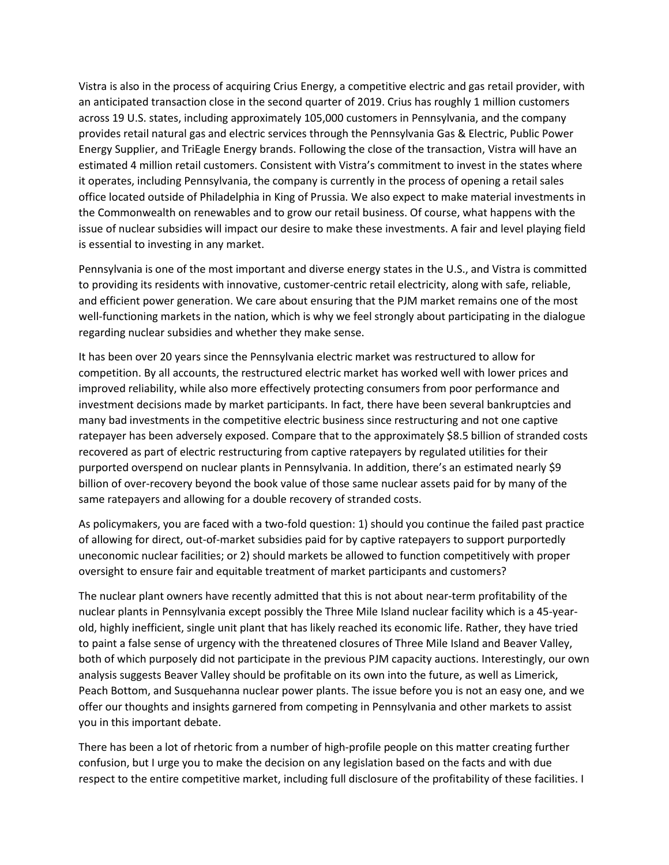Vistra is also in the process of acquiring Crius Energy, a competitive electric and gas retail provider, with an anticipated transaction close in the second quarter of 2019. Crius has roughly 1 million customers across 19 U.S. states, including approximately 105,000 customers in Pennsylvania, and the company provides retail natural gas and electric services through the Pennsylvania Gas & Electric, Public Power Energy Supplier, and TriEagle Energy brands. Following the close of the transaction, Vistra will have an estimated 4 million retail customers. Consistent with Vistra's commitment to invest in the states where it operates, including Pennsylvania, the company is currently in the process of opening a retail sales office located outside of Philadelphia in King of Prussia. We also expect to make material investments in the Commonwealth on renewables and to grow our retail business. Of course, what happens with the issue of nuclear subsidies will impact our desire to make these investments. A fair and level playing field is essential to investing in any market.

Pennsylvania is one of the most important and diverse energy states in the U.S., and Vistra is committed to providing its residents with innovative, customer-centric retail electricity, along with safe, reliable, and efficient power generation. We care about ensuring that the PJM market remains one of the most well-functioning markets in the nation, which is why we feel strongly about participating in the dialogue regarding nuclear subsidies and whether they make sense.

It has been over 20 years since the Pennsylvania electric market was restructured to allow for competition. By all accounts, the restructured electric market has worked well with lower prices and improved reliability, while also more effectively protecting consumers from poor performance and investment decisions made by market participants. In fact, there have been several bankruptcies and many bad investments in the competitive electric business since restructuring and not one captive ratepayer has been adversely exposed. Compare that to the approximately \$8.5 billion of stranded costs recovered as part of electric restructuring from captive ratepayers by regulated utilities for their purported overspend on nuclear plants in Pennsylvania. In addition, there's an estimated nearly \$9 billion of over-recovery beyond the book value of those same nuclear assets paid for by many of the same ratepayers and allowing for a double recovery of stranded costs.

As policymakers, you are faced with a two-fold question: 1) should you continue the failed past practice of allowing for direct, out-of-market subsidies paid for by captive ratepayers to support purportedly uneconomic nuclear facilities; or 2) should markets be allowed to function competitively with proper oversight to ensure fair and equitable treatment of market participants and customers?

The nuclear plant owners have recently admitted that this is not about near-term profitability of the nuclear plants in Pennsylvania except possibly the Three Mile Island nuclear facility which is a 45-yearold, highly inefficient, single unit plant that has likely reached its economic life. Rather, they have tried to paint a false sense of urgency with the threatened closures of Three Mile Island and Beaver Valley, both of which purposely did not participate in the previous PJM capacity auctions. Interestingly, our own analysis suggests Beaver Valley should be profitable on its own into the future, as well as Limerick, Peach Bottom, and Susquehanna nuclear power plants. The issue before you is not an easy one, and we offer our thoughts and insights garnered from competing in Pennsylvania and other markets to assist you in this important debate.

There has been a lot of rhetoric from a number of high-profile people on this matter creating further confusion, but I urge you to make the decision on any legislation based on the facts and with due respect to the entire competitive market, including full disclosure of the profitability of these facilities. I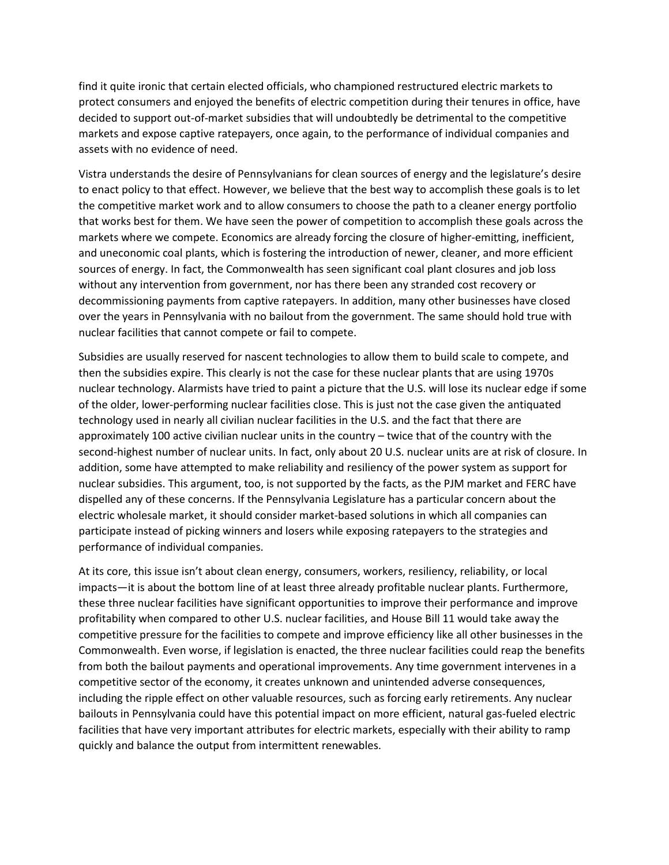find it quite ironic that certain elected officials, who championed restructured electric markets to protect consumers and enjoyed the benefits of electric competition during their tenures in office, have decided to support out-of-market subsidies that will undoubtedly be detrimental to the competitive markets and expose captive ratepayers, once again, to the performance of individual companies and assets with no evidence of need.

Vistra understands the desire of Pennsylvanians for clean sources of energy and the legislature's desire to enact policy to that effect. However, we believe that the best way to accomplish these goals is to let the competitive market work and to allow consumers to choose the path to a cleaner energy portfolio that works best for them. We have seen the power of competition to accomplish these goals across the markets where we compete. Economics are already forcing the closure of higher-emitting, inefficient, and uneconomic coal plants, which is fostering the introduction of newer, cleaner, and more efficient sources of energy. In fact, the Commonwealth has seen significant coal plant closures and job loss without any intervention from government, nor has there been any stranded cost recovery or decommissioning payments from captive ratepayers. In addition, many other businesses have closed over the years in Pennsylvania with no bailout from the government. The same should hold true with nuclear facilities that cannot compete or fail to compete.

Subsidies are usually reserved for nascent technologies to allow them to build scale to compete, and then the subsidies expire. This clearly is not the case for these nuclear plants that are using 1970s nuclear technology. Alarmists have tried to paint a picture that the U.S. will lose its nuclear edge if some of the older, lower-performing nuclear facilities close. This is just not the case given the antiquated technology used in nearly all civilian nuclear facilities in the U.S. and the fact that there are approximately 100 active civilian nuclear units in the country – twice that of the country with the second-highest number of nuclear units. In fact, only about 20 U.S. nuclear units are at risk of closure. In addition, some have attempted to make reliability and resiliency of the power system as support for nuclear subsidies. This argument, too, is not supported by the facts, as the PJM market and FERC have dispelled any of these concerns. If the Pennsylvania Legislature has a particular concern about the electric wholesale market, it should consider market-based solutions in which all companies can participate instead of picking winners and losers while exposing ratepayers to the strategies and performance of individual companies.

At its core, this issue isn't about clean energy, consumers, workers, resiliency, reliability, or local impacts—it is about the bottom line of at least three already profitable nuclear plants. Furthermore, these three nuclear facilities have significant opportunities to improve their performance and improve profitability when compared to other U.S. nuclear facilities, and House Bill 11 would take away the competitive pressure for the facilities to compete and improve efficiency like all other businesses in the Commonwealth. Even worse, if legislation is enacted, the three nuclear facilities could reap the benefits from both the bailout payments and operational improvements. Any time government intervenes in a competitive sector of the economy, it creates unknown and unintended adverse consequences, including the ripple effect on other valuable resources, such as forcing early retirements. Any nuclear bailouts in Pennsylvania could have this potential impact on more efficient, natural gas-fueled electric facilities that have very important attributes for electric markets, especially with their ability to ramp quickly and balance the output from intermittent renewables.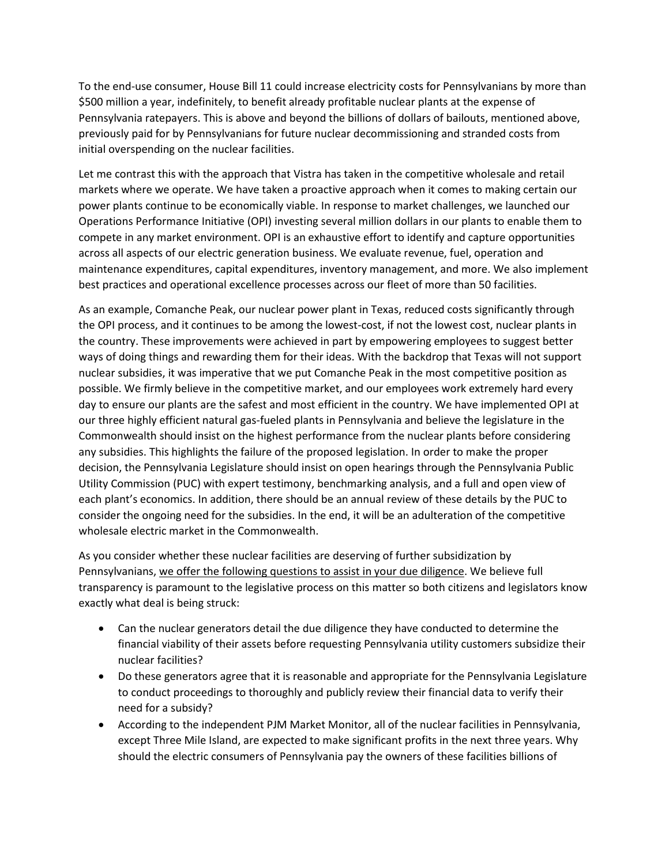To the end-use consumer, House Bill 11 could increase electricity costs for Pennsylvanians by more than \$500 million a year, indefinitely, to benefit already profitable nuclear plants at the expense of Pennsylvania ratepayers. This is above and beyond the billions of dollars of bailouts, mentioned above, previously paid for by Pennsylvanians for future nuclear decommissioning and stranded costs from initial overspending on the nuclear facilities.

Let me contrast this with the approach that Vistra has taken in the competitive wholesale and retail markets where we operate. We have taken a proactive approach when it comes to making certain our power plants continue to be economically viable. In response to market challenges, we launched our Operations Performance Initiative (OPI) investing several million dollars in our plants to enable them to compete in any market environment. OPI is an exhaustive effort to identify and capture opportunities across all aspects of our electric generation business. We evaluate revenue, fuel, operation and maintenance expenditures, capital expenditures, inventory management, and more. We also implement best practices and operational excellence processes across our fleet of more than 50 facilities.

As an example, Comanche Peak, our nuclear power plant in Texas, reduced costs significantly through the OPI process, and it continues to be among the lowest-cost, if not the lowest cost, nuclear plants in the country. These improvements were achieved in part by empowering employees to suggest better ways of doing things and rewarding them for their ideas. With the backdrop that Texas will not support nuclear subsidies, it was imperative that we put Comanche Peak in the most competitive position as possible. We firmly believe in the competitive market, and our employees work extremely hard every day to ensure our plants are the safest and most efficient in the country. We have implemented OPI at our three highly efficient natural gas-fueled plants in Pennsylvania and believe the legislature in the Commonwealth should insist on the highest performance from the nuclear plants before considering any subsidies. This highlights the failure of the proposed legislation. In order to make the proper decision, the Pennsylvania Legislature should insist on open hearings through the Pennsylvania Public Utility Commission (PUC) with expert testimony, benchmarking analysis, and a full and open view of each plant's economics. In addition, there should be an annual review of these details by the PUC to consider the ongoing need for the subsidies. In the end, it will be an adulteration of the competitive wholesale electric market in the Commonwealth.

As you consider whether these nuclear facilities are deserving of further subsidization by Pennsylvanians, we offer the following questions to assist in your due diligence. We believe full transparency is paramount to the legislative process on this matter so both citizens and legislators know exactly what deal is being struck:

- Can the nuclear generators detail the due diligence they have conducted to determine the financial viability of their assets before requesting Pennsylvania utility customers subsidize their nuclear facilities?
- Do these generators agree that it is reasonable and appropriate for the Pennsylvania Legislature to conduct proceedings to thoroughly and publicly review their financial data to verify their need for a subsidy?
- According to the independent PJM Market Monitor, all of the nuclear facilities in Pennsylvania, except Three Mile Island, are expected to make significant profits in the next three years. Why should the electric consumers of Pennsylvania pay the owners of these facilities billions of